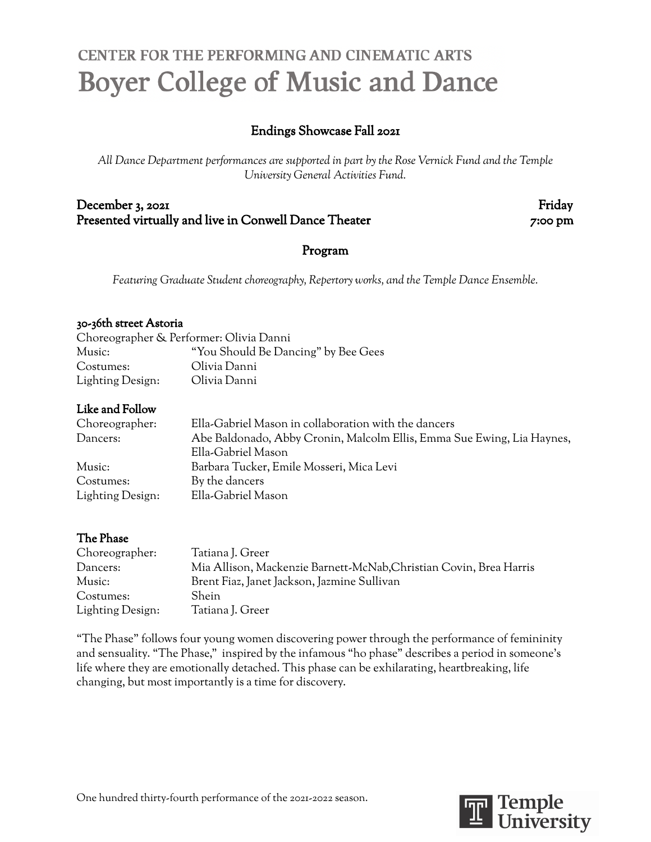# CENTER FOR THE PERFORMING AND CINEMATIC ARTS **Boyer College of Music and Dance**

# Endings Showcase Fall 2021

*All Dance Department performances are supported in part by the Rose Vernick Fund and the Temple University General Activities Fund.*

December 3, 2021 Friday Presented virtually and live in Conwell Dance Theater 7:00 pm

## Program

*Featuring Graduate Student choreography, Repertory works, and the Temple Dance Ensemble.*

#### 30-36th street Astoria

| Choreographer & Performer: Olivia Danni |                                     |
|-----------------------------------------|-------------------------------------|
| Music:                                  | "You Should Be Dancing" by Bee Gees |
| Costumes:                               | Olivia Danni                        |
| Lighting Design:                        | Olivia Danni                        |

## Like and Follow

| Choreographer:   | Ella-Gabriel Mason in collaboration with the dancers                   |
|------------------|------------------------------------------------------------------------|
| Dancers:         | Abe Baldonado, Abby Cronin, Malcolm Ellis, Emma Sue Ewing, Lia Haynes, |
|                  | Ella-Gabriel Mason                                                     |
| Music:           | Barbara Tucker, Emile Mosseri, Mica Levi                               |
| Costumes:        | By the dancers                                                         |
| Lighting Design: | Ella-Gabriel Mason                                                     |

## The Phase

| Choreographer:   | Tatiana J. Greer                                                   |
|------------------|--------------------------------------------------------------------|
| Dancers:         | Mia Allison, Mackenzie Barnett-McNab, Christian Covin, Brea Harris |
| Music:           | Brent Fiaz, Janet Jackson, Jazmine Sullivan                        |
| Costumes:        | Shein                                                              |
| Lighting Design: | Tatiana J. Greer                                                   |

"The Phase" follows four young women discovering power through the performance of femininity and sensuality. "The Phase," inspired by the infamous "ho phase" describes a period in someone's life where they are emotionally detached. This phase can be exhilarating, heartbreaking, life changing, but most importantly is a time for discovery.

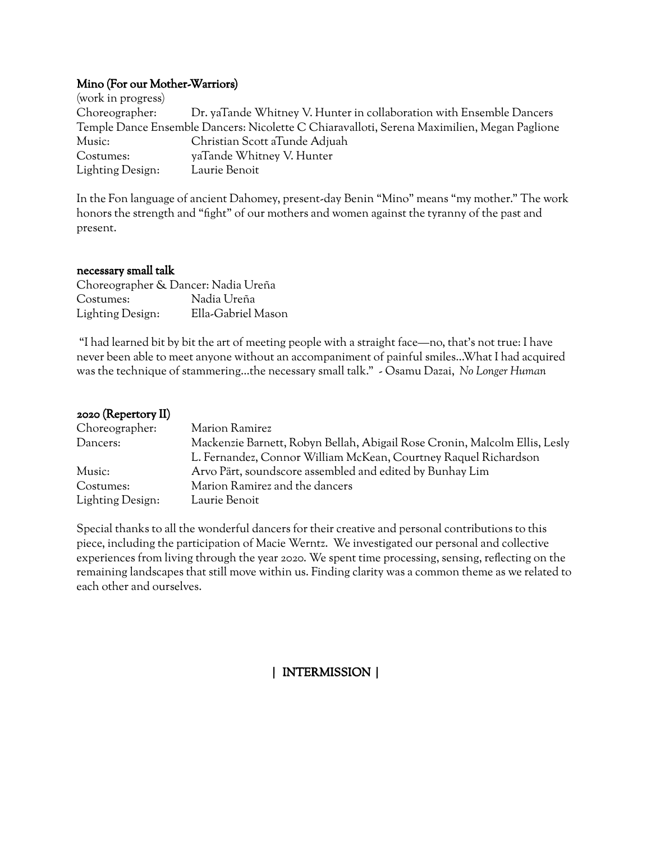## Mino (For our Mother-Warriors)

(work in progress) Choreographer: Dr. yaTande Whitney V. Hunter in collaboration with Ensemble Dancers Temple Dance Ensemble Dancers: Nicolette C Chiaravalloti, Serena Maximilien, Megan Paglione Music: Christian Scott aTunde Adjuah Costumes: yaTande Whitney V. Hunter Lighting Design: Laurie Benoit

In the Fon language of ancient Dahomey, present-day Benin "Mino" means "my mother." The work honors the strength and "fight" of our mothers and women against the tyranny of the past and present.

#### necessary small talk

| Choreographer & Dancer: Nadia Ureña |                    |
|-------------------------------------|--------------------|
| Costumes:                           | Nadia Ureña        |
| Lighting Design:                    | Ella-Gabriel Mason |

"I had learned bit by bit the art of meeting people with a straight face—no, that's not true: I have never been able to meet anyone without an accompaniment of painful smiles…What I had acquired was the technique of stammering…the necessary small talk." - Osamu Dazai, *No Longer Human*

| $2020$ (Repertory II) |                                                                                                                                               |
|-----------------------|-----------------------------------------------------------------------------------------------------------------------------------------------|
| Choreographer:        | Marion Ramirez                                                                                                                                |
| Dancers:              | Mackenzie Barnett, Robyn Bellah, Abigail Rose Cronin, Malcolm Ellis, Lesly<br>L. Fernandez, Connor William McKean, Courtney Raquel Richardson |
| Music:                | Arvo Pärt, soundscore assembled and edited by Bunhay Lim                                                                                      |
| Costumes:             | Marion Ramirez and the dancers                                                                                                                |
| Lighting Design:      | Laurie Benoit                                                                                                                                 |

Special thanks to all the wonderful dancers for their creative and personal contributions to this piece, including the participation of Macie Werntz. We investigated our personal and collective experiences from living through the year 2020. We spent time processing, sensing, reflecting on the remaining landscapes that still move within us. Finding clarity was a common theme as we related to each other and ourselves.

# | INTERMISSION |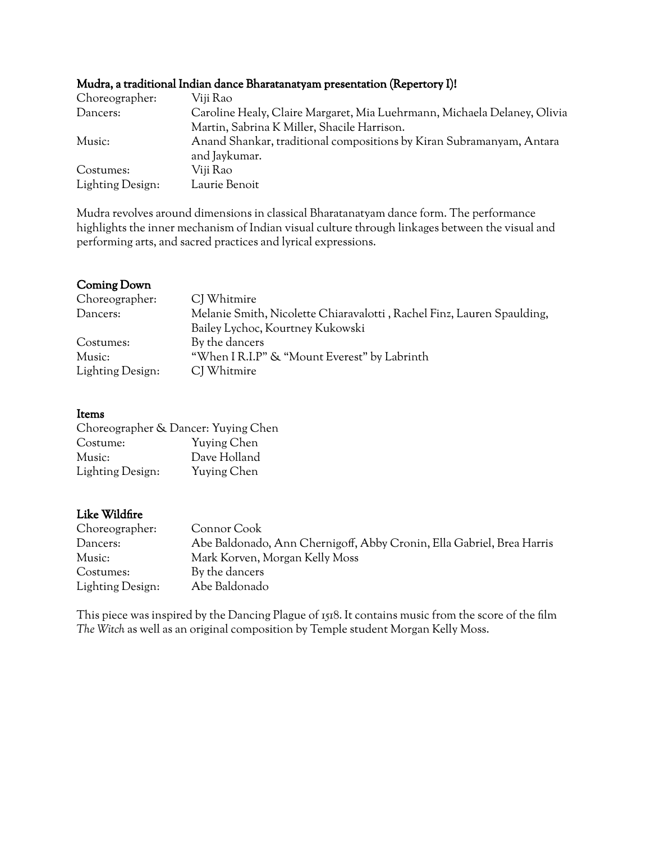|                  | $\ldots$ . The contract of the contract of the contract of the contract $\alpha$ is the contract of $\alpha$ and $\alpha$ |
|------------------|---------------------------------------------------------------------------------------------------------------------------|
| Choreographer:   | Viji Rao                                                                                                                  |
| Dancers:         | Caroline Healy, Claire Margaret, Mia Luehrmann, Michaela Delaney, Olivia                                                  |
|                  | Martin, Sabrina K Miller, Shacile Harrison.                                                                               |
| Music:           | Anand Shankar, traditional compositions by Kiran Subramanyam, Antara                                                      |
|                  | and Jaykumar.                                                                                                             |
| Costumes:        | Viji Rao                                                                                                                  |
| Lighting Design: | Laurie Benoit                                                                                                             |
|                  |                                                                                                                           |

## Mudra, a traditional Indian dance Bharatanatyam presentation (Repertory I)!

Mudra revolves around dimensions in classical Bharatanatyam dance form. The performance highlights the inner mechanism of Indian visual culture through linkages between the visual and performing arts, and sacred practices and lyrical expressions.

## Coming Down

| Choreographer:   | CJ Whitmire                                                            |
|------------------|------------------------------------------------------------------------|
| Dancers:         | Melanie Smith, Nicolette Chiaravalotti, Rachel Finz, Lauren Spaulding, |
|                  | Bailey Lychoc, Kourtney Kukowski                                       |
| Costumes:        | By the dancers                                                         |
| Music:           | "When I R.I.P" & "Mount Everest" by Labrinth                           |
| Lighting Design: | CJ Whitmire                                                            |

#### Items

| Choreographer & Dancer: Yuying Chen |              |
|-------------------------------------|--------------|
| Costume:                            | Yuying Chen  |
| Music:                              | Dave Holland |
| Lighting Design:                    | Yuying Chen  |

## Like Wildfire

| Choreographer:   | Connor Cook                                                           |
|------------------|-----------------------------------------------------------------------|
| Dancers:         | Abe Baldonado, Ann Chernigoff, Abby Cronin, Ella Gabriel, Brea Harris |
| Music:           | Mark Korven, Morgan Kelly Moss                                        |
| Costumes:        | By the dancers                                                        |
| Lighting Design: | Abe Baldonado                                                         |

This piece was inspired by the Dancing Plague of 1518. It contains music from the score of the film *The Witch* as well as an original composition by Temple student Morgan Kelly Moss.